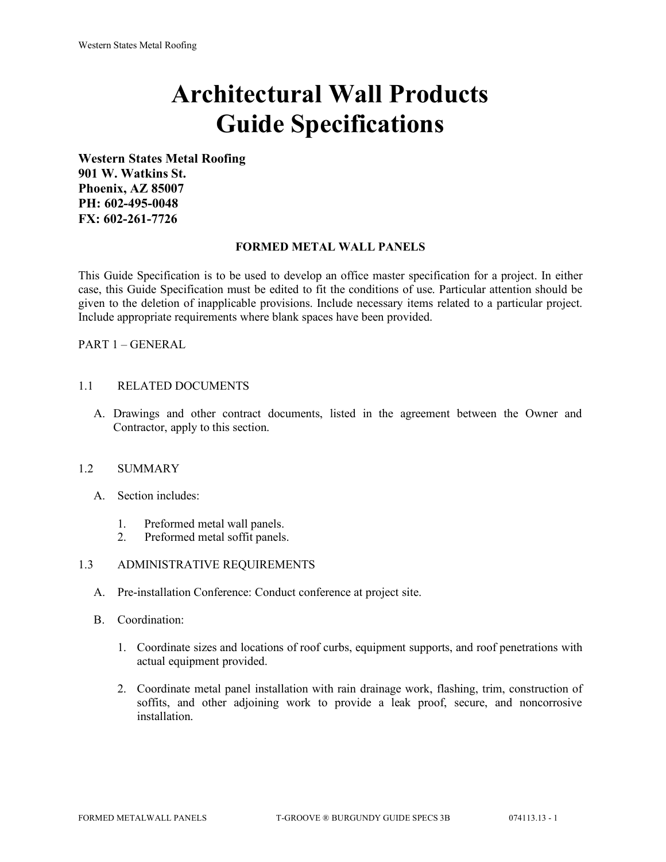# **Architectural Wall Products Guide Specifications**

**Western States Metal Roofing 901 W. Watkins St. Phoenix, AZ 85007 PH: 602-495-0048 FX: 602-261-7726**

#### **FORMED METAL WALL PANELS**

This Guide Specification is to be used to develop an office master specification for a project. In either case, this Guide Specification must be edited to fit the conditions of use. Particular attention should be given to the deletion of inapplicable provisions. Include necessary items related to a particular project. Include appropriate requirements where blank spaces have been provided.

PART 1 – GENERAL

# 1.1 RELATED DOCUMENTS

A. Drawings and other contract documents, listed in the agreement between the Owner and Contractor, apply to this section.

#### 1.2 SUMMARY

- A. Section includes:
	- 1. Preformed metal wall panels.
	- 2. Preformed metal soffit panels.

# 1.3 ADMINISTRATIVE REQUIREMENTS

- A. Pre-installation Conference: Conduct conference at project site.
- B. Coordination:
	- 1. Coordinate sizes and locations of roof curbs, equipment supports, and roof penetrations with actual equipment provided.
	- 2. Coordinate metal panel installation with rain drainage work, flashing, trim, construction of soffits, and other adjoining work to provide a leak proof, secure, and noncorrosive installation.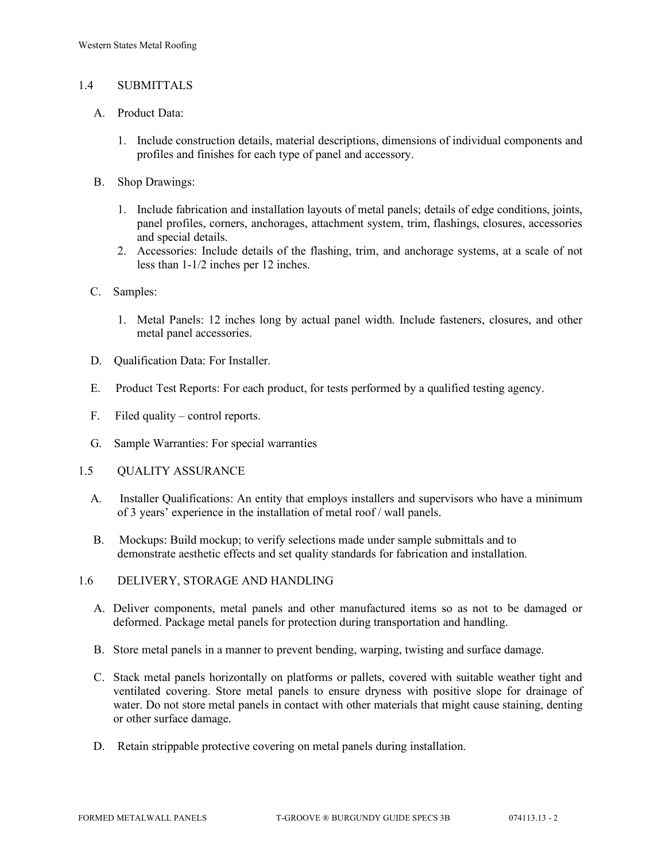# 1.4 SUBMITTALS

- A. Product Data:
	- 1. Include construction details, material descriptions, dimensions of individual components and profiles and finishes for each type of panel and accessory.
- B. Shop Drawings:
	- 1. Include fabrication and installation layouts of metal panels; details of edge conditions, joints, panel profiles, corners, anchorages, attachment system, trim, flashings, closures, accessories and special details.
	- 2. Accessories: Include details of the flashing, trim, and anchorage systems, at a scale of not less than 1-1/2 inches per 12 inches.
- C. Samples:
	- 1. Metal Panels: 12 inches long by actual panel width. Include fasteners, closures, and other metal panel accessories.
- D. Qualification Data: For Installer.
- E. Product Test Reports: For each product, for tests performed by a qualified testing agency.
- F. Filed quality control reports.
- G. Sample Warranties: For special warranties
- 1.5 QUALITY ASSURANCE
	- A. Installer Qualifications: An entity that employs installers and supervisors who have a minimum of 3 years' experience in the installation of metal roof / wall panels.
	- B. Mockups: Build mockup; to verify selections made under sample submittals and to demonstrate aesthetic effects and set quality standards for fabrication and installation.
- 1.6 DELIVERY, STORAGE AND HANDLING
	- A. Deliver components, metal panels and other manufactured items so as not to be damaged or deformed. Package metal panels for protection during transportation and handling.
	- B. Store metal panels in a manner to prevent bending, warping, twisting and surface damage.
	- C. Stack metal panels horizontally on platforms or pallets, covered with suitable weather tight and ventilated covering. Store metal panels to ensure dryness with positive slope for drainage of water. Do not store metal panels in contact with other materials that might cause staining, denting or other surface damage.
	- D. Retain strippable protective covering on metal panels during installation.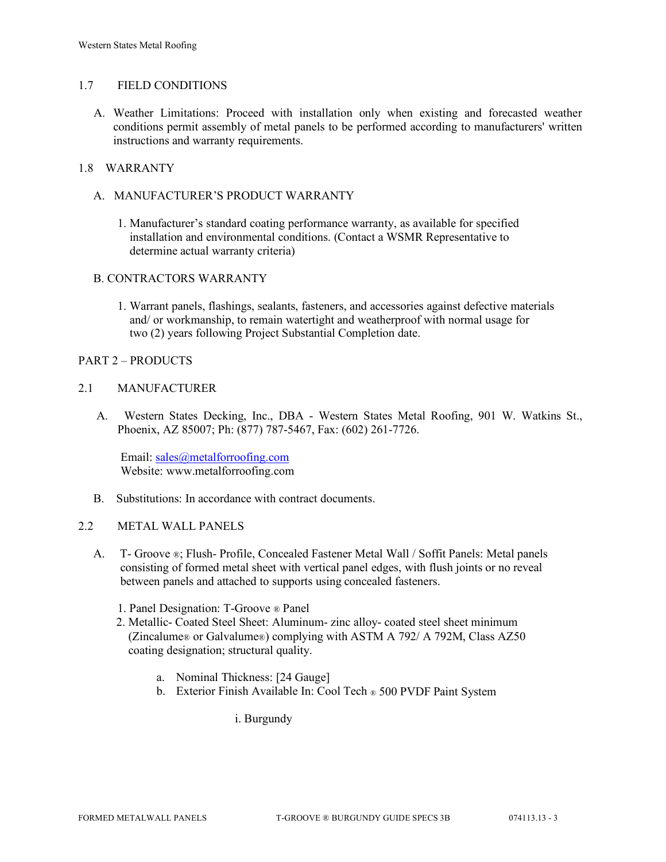#### 1.7 FIELD CONDITIONS

A. Weather Limitations: Proceed with installation only when existing and forecasted weather conditions permit assembly of metal panels to be performed according to manufacturers' written instructions and warranty requirements.

# 1.8 WARRANTY

- A. MANUFACTURER'S PRODUCT WARRANTY
	- 1. Manufacturer's standard coating performance warranty, as available for specified installation and environmental conditions. (Contact a WSMR Representative to determine actual warranty criteria)

#### B. CONTRACTORS WARRANTY

1. Warrant panels, flashings, sealants, fasteners, and accessories against defective materials and/ or workmanship, to remain watertight and weatherproof with normal usage for two (2) years following Project Substantial Completion date.

#### PART 2 – PRODUCTS

#### 2.1 MANUFACTURER

 A. Western States Decking, Inc., DBA - Western States Metal Roofing, 901 W. Watkins St., Phoenix, AZ 85007; Ph: (877) 787-5467, Fax: (602) 261-7726.

Email: [sales@metalforroofing.com](mailto:sales@metalforroofing.com) Website: www.metalforroofing.com

B. Substitutions: In accordance with contract documents.

#### 2.2 METAL WALL PANELS

- A. T- Groove ®; Flush- Profile, Concealed Fastener Metal Wall / Soffit Panels: Metal panels consisting of formed metal sheet with vertical panel edges, with flush joints or no reveal between panels and attached to supports using concealed fasteners.
	- 1. Panel Designation: T-Groove ® Panel
	- 2. Metallic- Coated Steel Sheet: Aluminum- zinc alloy- coated steel sheet minimum (Zincalume® or Galvalume®) complying with ASTM A 792/ A 792M, Class AZ50 coating designation; structural quality.
		- a. Nominal Thickness: [24 Gauge]
		- b. Exterior Finish Available In: Cool Tech ® 500 PVDF Paint System

i. Burgundy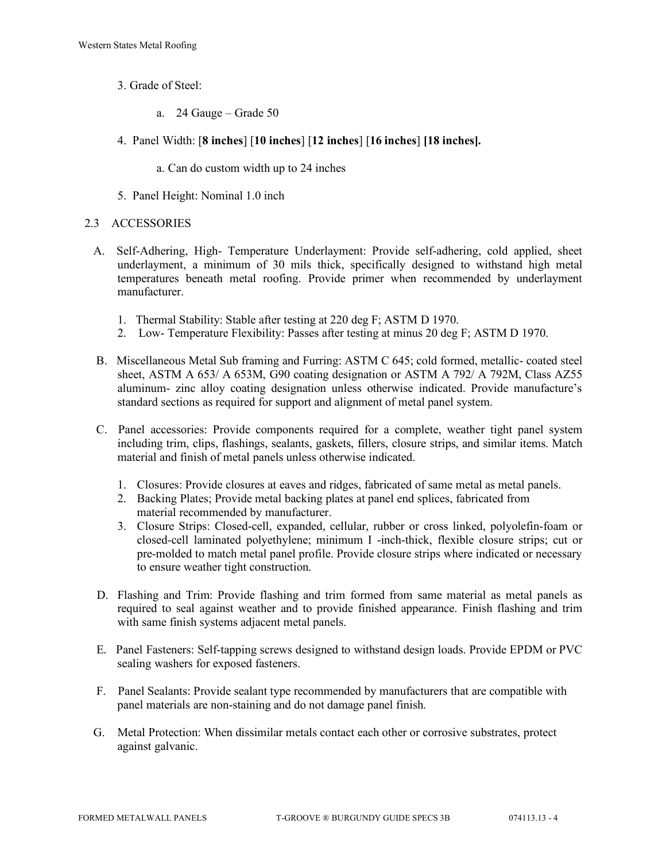- 3. Grade of Steel:
	- a. 24 Gauge Grade 50
- 4. Panel Width: [**8 inches**] [**10 inches**] [**12 inches**] [**16 inches**] **[18 inches].**
	- a. Can do custom width up to 24 inches
- 5. Panel Height: Nominal 1.0 inch

#### 2.3 ACCESSORIES

- A. Self-Adhering, High- Temperature Underlayment: Provide self-adhering, cold applied, sheet underlayment, a minimum of 30 mils thick, specifically designed to withstand high metal temperatures beneath metal roofing. Provide primer when recommended by underlayment manufacturer.
	- 1. Thermal Stability: Stable after testing at 220 deg F; ASTM D 1970.
	- 2. Low- Temperature Flexibility: Passes after testing at minus 20 deg F; ASTM D 1970.
- B. Miscellaneous Metal Sub framing and Furring: ASTM C 645; cold formed, metallic- coated steel sheet, ASTM A 653/ A 653M, G90 coating designation or ASTM A 792/ A 792M, Class AZ55 aluminum- zinc alloy coating designation unless otherwise indicated. Provide manufacture's standard sections as required for support and alignment of metal panel system.
- C. Panel accessories: Provide components required for a complete, weather tight panel system including trim, clips, flashings, sealants, gaskets, fillers, closure strips, and similar items. Match material and finish of metal panels unless otherwise indicated.
	- 1. Closures: Provide closures at eaves and ridges, fabricated of same metal as metal panels.
	- 2. Backing Plates; Provide metal backing plates at panel end splices, fabricated from material recommended by manufacturer.
	- 3. Closure Strips: Closed-cell, expanded, cellular, rubber or cross linked, polyolefin-foam or closed-cell laminated polyethylene; minimum I -inch-thick, flexible closure strips; cut or pre-molded to match metal panel profile. Provide closure strips where indicated or necessary to ensure weather tight construction.
- D. Flashing and Trim: Provide flashing and trim formed from same material as metal panels as required to seal against weather and to provide finished appearance. Finish flashing and trim with same finish systems adjacent metal panels.
- E. Panel Fasteners: Self-tapping screws designed to withstand design loads. Provide EPDM or PVC sealing washers for exposed fasteners.
- F. Panel Sealants: Provide sealant type recommended by manufacturers that are compatible with panel materials are non-staining and do not damage panel finish.
- G. Metal Protection: When dissimilar metals contact each other or corrosive substrates, protect against galvanic.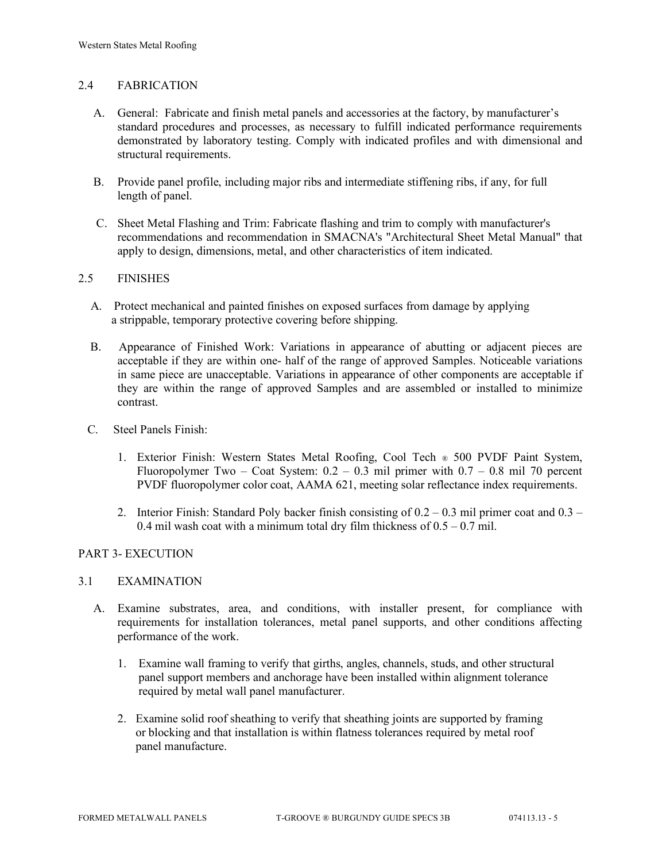# 2.4 FABRICATION

- A. General: Fabricate and finish metal panels and accessories at the factory, by manufacturer's standard procedures and processes, as necessary to fulfill indicated performance requirements demonstrated by laboratory testing. Comply with indicated profiles and with dimensional and structural requirements.
- B. Provide panel profile, including major ribs and intermediate stiffening ribs, if any, for full length of panel.
- C. Sheet Metal Flashing and Trim: Fabricate flashing and trim to comply with manufacturer's recommendations and recommendation in SMACNA's "Architectural Sheet Metal Manual" that apply to design, dimensions, metal, and other characteristics of item indicated.

#### 2.5 FINISHES

- A. Protect mechanical and painted finishes on exposed surfaces from damage by applying a strippable, temporary protective covering before shipping.
- B. Appearance of Finished Work: Variations in appearance of abutting or adjacent pieces are acceptable if they are within one- half of the range of approved Samples. Noticeable variations in same piece are unacceptable. Variations in appearance of other components are acceptable if they are within the range of approved Samples and are assembled or installed to minimize contrast.
- C. Steel Panels Finish:
	- 1. Exterior Finish: Western States Metal Roofing, Cool Tech ® 500 PVDF Paint System, Fluoropolymer Two – Coat System:  $0.2 - 0.3$  mil primer with  $0.7 - 0.8$  mil 70 percent PVDF fluoropolymer color coat, AAMA 621, meeting solar reflectance index requirements.
	- 2. Interior Finish: Standard Poly backer finish consisting of  $0.2 0.3$  mil primer coat and  $0.3 -$ 0.4 mil wash coat with a minimum total dry film thickness of  $0.5 - 0.7$  mil.

#### PART 3- EXECUTION

#### 3.1 EXAMINATION

- A. Examine substrates, area, and conditions, with installer present, for compliance with requirements for installation tolerances, metal panel supports, and other conditions affecting performance of the work.
	- 1. Examine wall framing to verify that girths, angles, channels, studs, and other structural panel support members and anchorage have been installed within alignment tolerance required by metal wall panel manufacturer.
	- 2. Examine solid roof sheathing to verify that sheathing joints are supported by framing or blocking and that installation is within flatness tolerances required by metal roof panel manufacture.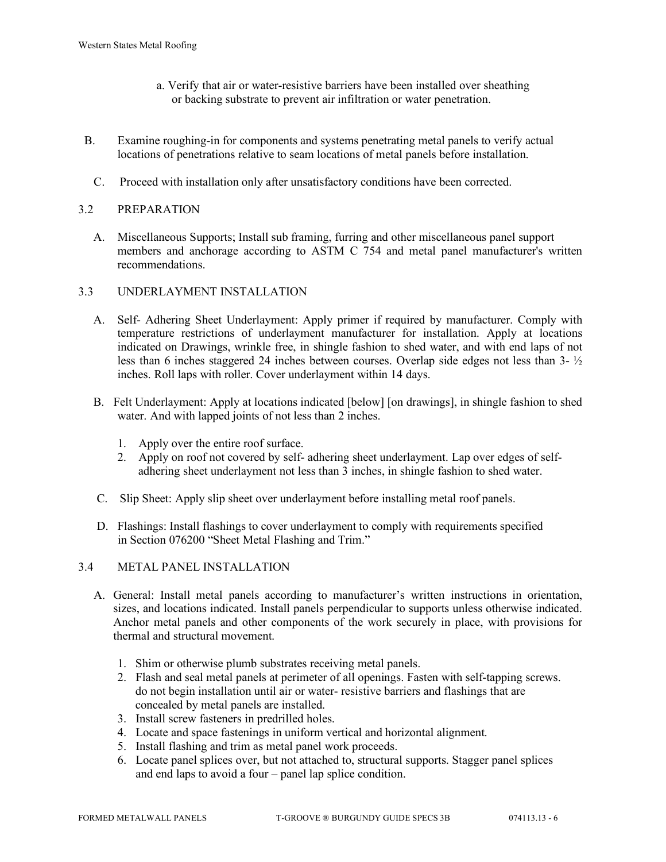- a. Verify that air or water-resistive barriers have been installed over sheathing or backing substrate to prevent air infiltration or water penetration.
- B. Examine roughing-in for components and systems penetrating metal panels to verify actual locations of penetrations relative to seam locations of metal panels before installation.
	- C. Proceed with installation only after unsatisfactory conditions have been corrected.

# 3.2 PREPARATION

 A. Miscellaneous Supports; Install sub framing, furring and other miscellaneous panel support members and anchorage according to ASTM C 754 and metal panel manufacturer's written recommendations.

#### 3.3 UNDERLAYMENT INSTALLATION

- A. Self- Adhering Sheet Underlayment: Apply primer if required by manufacturer. Comply with temperature restrictions of underlayment manufacturer for installation. Apply at locations indicated on Drawings, wrinkle free, in shingle fashion to shed water, and with end laps of not less than 6 inches staggered 24 inches between courses. Overlap side edges not less than 3- ½ inches. Roll laps with roller. Cover underlayment within 14 days.
- B. Felt Underlayment: Apply at locations indicated [below] [on drawings], in shingle fashion to shed water. And with lapped joints of not less than 2 inches.
	- 1. Apply over the entire roof surface.
	- 2. Apply on roof not covered by self- adhering sheet underlayment. Lap over edges of self adhering sheet underlayment not less than 3 inches, in shingle fashion to shed water.
- C. Slip Sheet: Apply slip sheet over underlayment before installing metal roof panels.
- D. Flashings: Install flashings to cover underlayment to comply with requirements specified in Section 076200 "Sheet Metal Flashing and Trim."

#### 3.4 METAL PANEL INSTALLATION

- A. General: Install metal panels according to manufacturer's written instructions in orientation, sizes, and locations indicated. Install panels perpendicular to supports unless otherwise indicated. Anchor metal panels and other components of the work securely in place, with provisions for thermal and structural movement.
	- 1. Shim or otherwise plumb substrates receiving metal panels.
	- 2. Flash and seal metal panels at perimeter of all openings. Fasten with self-tapping screws. do not begin installation until air or water- resistive barriers and flashings that are concealed by metal panels are installed.
	- 3. Install screw fasteners in predrilled holes.
	- 4. Locate and space fastenings in uniform vertical and horizontal alignment.
	- 5. Install flashing and trim as metal panel work proceeds.
	- 6. Locate panel splices over, but not attached to, structural supports. Stagger panel splices and end laps to avoid a four – panel lap splice condition.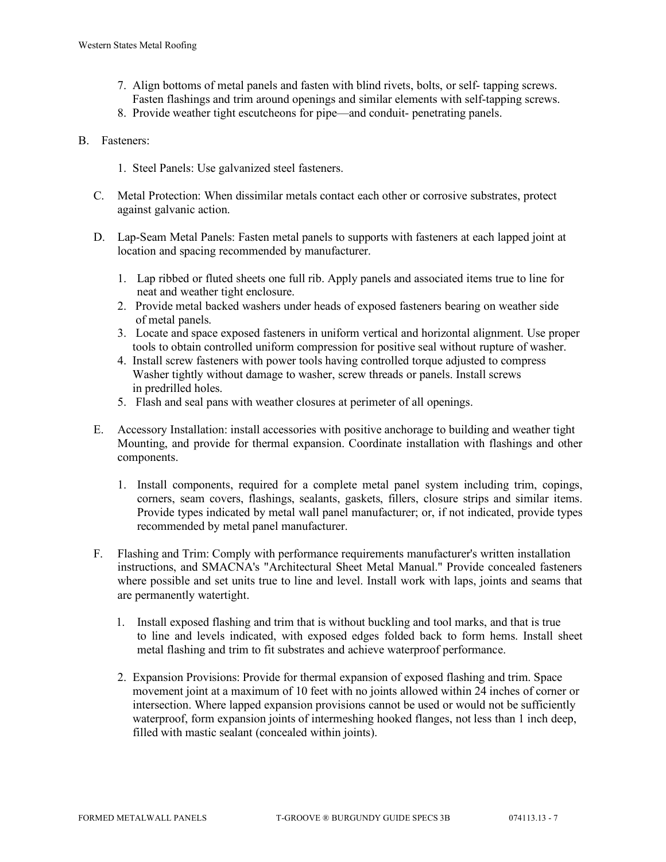- 7. Align bottoms of metal panels and fasten with blind rivets, bolts, or self- tapping screws. Fasten flashings and trim around openings and similar elements with self-tapping screws.
- 8. Provide weather tight escutcheons for pipe—and conduit- penetrating panels.
- B. Fasteners:
	- 1. Steel Panels: Use galvanized steel fasteners.
	- C. Metal Protection: When dissimilar metals contact each other or corrosive substrates, protect against galvanic action.
	- D. Lap-Seam Metal Panels: Fasten metal panels to supports with fasteners at each lapped joint at location and spacing recommended by manufacturer.
		- 1. Lap ribbed or fluted sheets one full rib. Apply panels and associated items true to line for neat and weather tight enclosure.
		- 2. Provide metal backed washers under heads of exposed fasteners bearing on weather side of metal panels.
		- 3. Locate and space exposed fasteners in uniform vertical and horizontal alignment. Use proper tools to obtain controlled uniform compression for positive seal without rupture of washer.
		- 4. Install screw fasteners with power tools having controlled torque adjusted to compress Washer tightly without damage to washer, screw threads or panels. Install screws in predrilled holes.
		- 5. Flash and seal pans with weather closures at perimeter of all openings.
	- E. Accessory Installation: install accessories with positive anchorage to building and weather tight Mounting, and provide for thermal expansion. Coordinate installation with flashings and other components.
		- 1. Install components, required for a complete metal panel system including trim, copings, corners, seam covers, flashings, sealants, gaskets, fillers, closure strips and similar items. Provide types indicated by metal wall panel manufacturer; or, if not indicated, provide types recommended by metal panel manufacturer.
	- F. Flashing and Trim: Comply with performance requirements manufacturer's written installation instructions, and SMACNA's "Architectural Sheet Metal Manual." Provide concealed fasteners where possible and set units true to line and level. Install work with laps, joints and seams that are permanently watertight.
		- 1. Install exposed flashing and trim that is without buckling and tool marks, and that is true to line and levels indicated, with exposed edges folded back to form hems. Install sheet metal flashing and trim to fit substrates and achieve waterproof performance.
		- 2. Expansion Provisions: Provide for thermal expansion of exposed flashing and trim. Space movement joint at a maximum of 10 feet with no joints allowed within 24 inches of corner or intersection. Where lapped expansion provisions cannot be used or would not be sufficiently waterproof, form expansion joints of intermeshing hooked flanges, not less than 1 inch deep, filled with mastic sealant (concealed within joints).